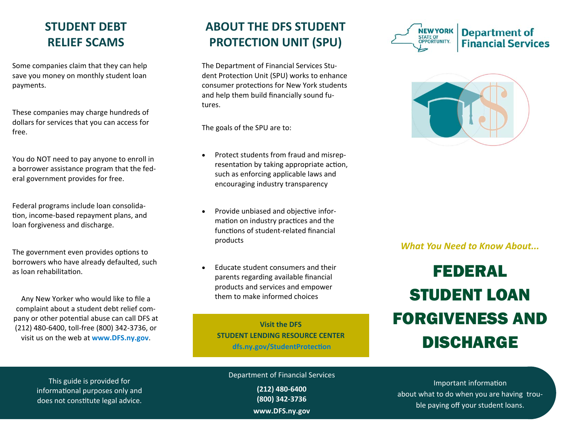#### **STUDENT DEBT RELIEF SCAMS**

Some companies claim that they can help save you money on monthly student loan payments.

These companies may charge hundreds of dollars for services that you can access for free.

You do NOT need to pay anyone to enroll in a borrower assistance program that the federal government provides for free.

Federal programs include loan consolidation, income-based repayment plans, and loan forgiveness and discharge.

The government even provides options to borrowers who have already defaulted, such as loan rehabilitation.

Any New Yorker who would like to file a complaint about a student debt relief company or other potential abuse can call DFS at (212) 480-6400, toll-free (800) 342-3736, or visit us on the web at **www.DFS.ny.gov**.

## **ABOUT THE DFS STUDENT PROTECTION UNIT (SPU)**

The Department of Financial Services Student Protection Unit (SPU) works to enhance consumer protections for New York students and help them build financially sound futures.

The goals of the SPU are to:

- $\bullet$  Protect students from fraud and misrepresentation by taking appropriate action, such as enforcing applicable laws and encouraging industry transparency
- $\bullet$ Provide unbiased and objective information on industry practices and the functions of student-related financial products
- $\bullet$  Educate student consumers and their parents regarding available financial products and services and empower them to make informed choices

**Visit the DFS STUDENT LENDING RESOURCE CENTER dfs.ny.gov/StudentProtecƟon**





*What You Need to Know About...* 

# FEDERALSTUDENT LOAN FORGIVENESS AND DISCHARGE

This guide is provided for informational purposes only and does not constitute legal advice.

Department of Financial Services

**(212) 480‐6400 (800) 342‐3736 www.DFS.ny.gov** 

Important information about what to do when you are having trouble paying off your student loans.